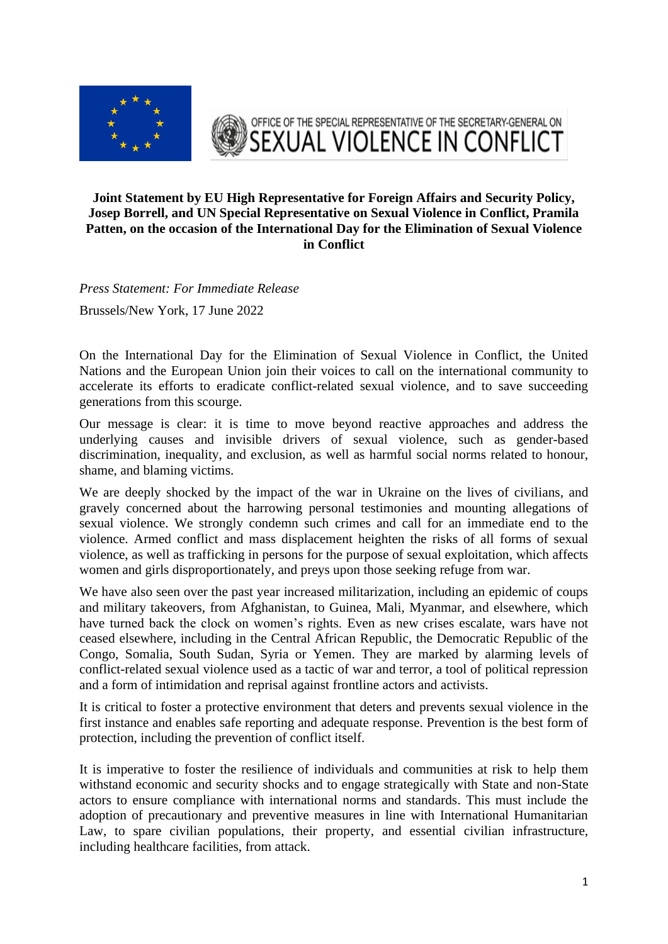



## **Joint Statement by EU High Representative for Foreign Affairs and Security Policy, Josep Borrell, and UN Special Representative on Sexual Violence in Conflict, Pramila Patten, on the occasion of the International Day for the Elimination of Sexual Violence in Conflict**

*Press Statement: For Immediate Release* 

Brussels/New York, 17 June 2022

On the International Day for the Elimination of Sexual Violence in Conflict, the United Nations and the European Union join their voices to call on the international community to accelerate its efforts to eradicate conflict-related sexual violence, and to save succeeding generations from this scourge.

Our message is clear: it is time to move beyond reactive approaches and address the underlying causes and invisible drivers of sexual violence, such as gender-based discrimination, inequality, and exclusion, as well as harmful social norms related to honour, shame, and blaming victims.

We are deeply shocked by the impact of the war in Ukraine on the lives of civilians, and gravely concerned about the harrowing personal testimonies and mounting allegations of sexual violence. We strongly condemn such crimes and call for an immediate end to the violence. Armed conflict and mass displacement heighten the risks of all forms of sexual violence, as well as trafficking in persons for the purpose of sexual exploitation, which affects women and girls disproportionately, and preys upon those seeking refuge from war.

We have also seen over the past year increased militarization, including an epidemic of coups and military takeovers, from Afghanistan, to Guinea, Mali, Myanmar, and elsewhere, which have turned back the clock on women's rights. Even as new crises escalate, wars have not ceased elsewhere, including in the Central African Republic, the Democratic Republic of the Congo, Somalia, South Sudan, Syria or Yemen. They are marked by alarming levels of conflict-related sexual violence used as a tactic of war and terror, a tool of political repression and a form of intimidation and reprisal against frontline actors and activists.

It is critical to foster a protective environment that deters and prevents sexual violence in the first instance and enables safe reporting and adequate response. Prevention is the best form of protection, including the prevention of conflict itself.

It is imperative to foster the resilience of individuals and communities at risk to help them withstand economic and security shocks and to engage strategically with State and non-State actors to ensure compliance with international norms and standards. This must include the adoption of precautionary and preventive measures in line with International Humanitarian Law, to spare civilian populations, their property, and essential civilian infrastructure, including healthcare facilities, from attack.